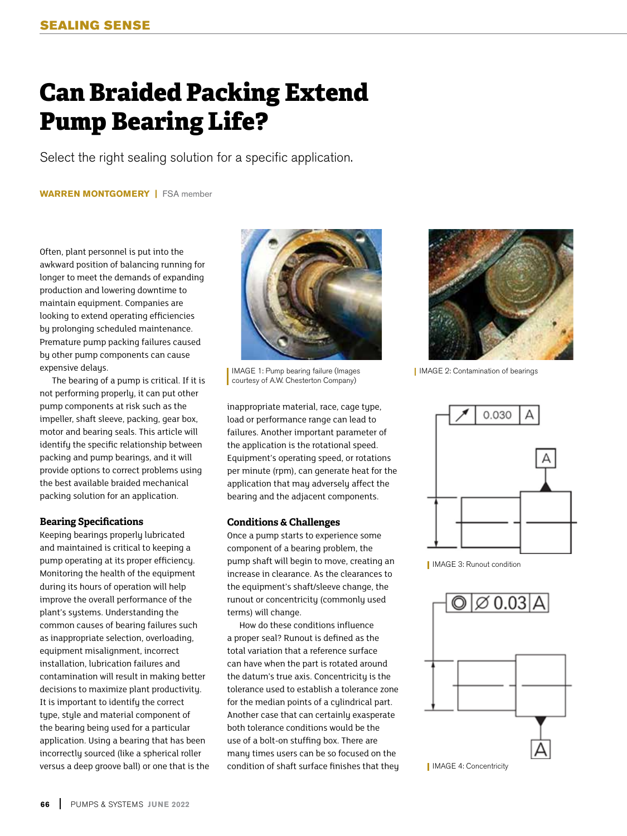## **Can Braided Packing Extend Pump Bearing Life?**

Select the right sealing solution for a specific application.

**WARREN MONTGOMERY |** FSA member

Often, plant personnel is put into the awkward position of balancing running for longer to meet the demands of expanding production and lowering downtime to maintain equipment. Companies are looking to extend operating efficiencies by prolonging scheduled maintenance. Premature pump packing failures caused by other pump components can cause expensive delays.

The bearing of a pump is critical. If it is not performing properly, it can put other pump components at risk such as the impeller, shaft sleeve, packing, gear box, motor and bearing seals. This article will identify the specific relationship between packing and pump bearings, and it will provide options to correct problems using the best available braided mechanical packing solution for an application.

## **Bearing Specifications**

Keeping bearings properly lubricated and maintained is critical to keeping a pump operating at its proper efficiency. Monitoring the health of the equipment during its hours of operation will help improve the overall performance of the plant's systems. Understanding the common causes of bearing failures such as inappropriate selection, overloading, equipment misalignment, incorrect installation, lubrication failures and contamination will result in making better decisions to maximize plant productivity. It is important to identify the correct type, style and material component of the bearing being used for a particular application. Using a bearing that has been incorrectly sourced (like a spherical roller versus a deep groove ball) or one that is the



IMAGE 1: Pump bearing failure (Images courtesy of A.W. Chesterton Company)

inappropriate material, race, cage type, load or performance range can lead to failures. Another important parameter of the application is the rotational speed. Equipment's operating speed, or rotations per minute (rpm), can generate heat for the application that may adversely affect the bearing and the adjacent components.

## **Conditions & Challenges**

Once a pump starts to experience some component of a bearing problem, the pump shaft will begin to move, creating an increase in clearance. As the clearances to the equipment's shaft/sleeve change, the runout or concentricity (commonly used terms) will change.

How do these conditions influence a proper seal? Runout is defined as the total variation that a reference surface can have when the part is rotated around the datum's true axis. Concentricity is the tolerance used to establish a tolerance zone for the median points of a cylindrical part. Another case that can certainly exasperate both tolerance conditions would be the use of a bolt-on stuffing box. There are many times users can be so focused on the condition of shaft surface finishes that they



**I** IMAGE 2: Contamination of bearings



IMAGE 3: Runout condition



**I** IMAGE 4: Concentricity